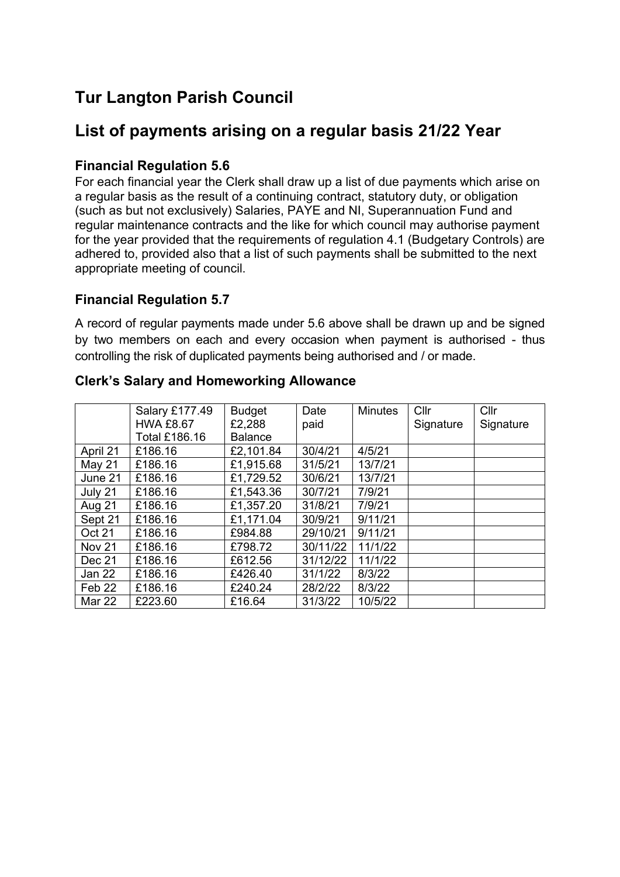# **Tur Langton Parish Council**

## **List of payments arising on a regular basis 21/22 Year**

#### **Financial Regulation 5.6**

For each financial year the Clerk shall draw up a list of due payments which arise on a regular basis as the result of a continuing contract, statutory duty, or obligation (such as but not exclusively) Salaries, PAYE and NI, Superannuation Fund and regular maintenance contracts and the like for which council may authorise payment for the year provided that the requirements of regulation 4.1 (Budgetary Controls) are adhered to, provided also that a list of such payments shall be submitted to the next appropriate meeting of council.

#### **Financial Regulation 5.7**

A record of regular payments made under 5.6 above shall be drawn up and be signed by two members on each and every occasion when payment is authorised - thus controlling the risk of duplicated payments being authorised and / or made.

|                   | Salary £177.49       | <b>Budget</b>  | Date     | <b>Minutes</b> | Cllr      | Cllr      |
|-------------------|----------------------|----------------|----------|----------------|-----------|-----------|
|                   | <b>HWA £8.67</b>     | £2,288         | paid     |                | Signature | Signature |
|                   | <b>Total £186.16</b> | <b>Balance</b> |          |                |           |           |
| April 21          | £186.16              | £2,101.84      | 30/4/21  | 4/5/21         |           |           |
| May 21            | £186.16              | £1,915.68      | 31/5/21  | 13/7/21        |           |           |
| June 21           | £186.16              | £1,729.52      | 30/6/21  | 13/7/21        |           |           |
| July 21           | £186.16              | £1,543.36      | 30/7/21  | 7/9/21         |           |           |
| <b>Aug 21</b>     | £186.16              | £1,357.20      | 31/8/21  | 7/9/21         |           |           |
| Sept 21           | £186.16              | £1,171.04      | 30/9/21  | 9/11/21        |           |           |
| <b>Oct 21</b>     | £186.16              | £984.88        | 29/10/21 | 9/11/21        |           |           |
| <b>Nov 21</b>     | £186.16              | £798.72        | 30/11/22 | 11/1/22        |           |           |
| Dec 21            | £186.16              | £612.56        | 31/12/22 | 11/1/22        |           |           |
| Jan 22            | £186.16              | £426.40        | 31/1/22  | 8/3/22         |           |           |
| Feb <sub>22</sub> | £186.16              | £240.24        | 28/2/22  | 8/3/22         |           |           |
| <b>Mar 22</b>     | £223.60              | £16.64         | 31/3/22  | 10/5/22        |           |           |

#### **Clerk's Salary and Homeworking Allowance**